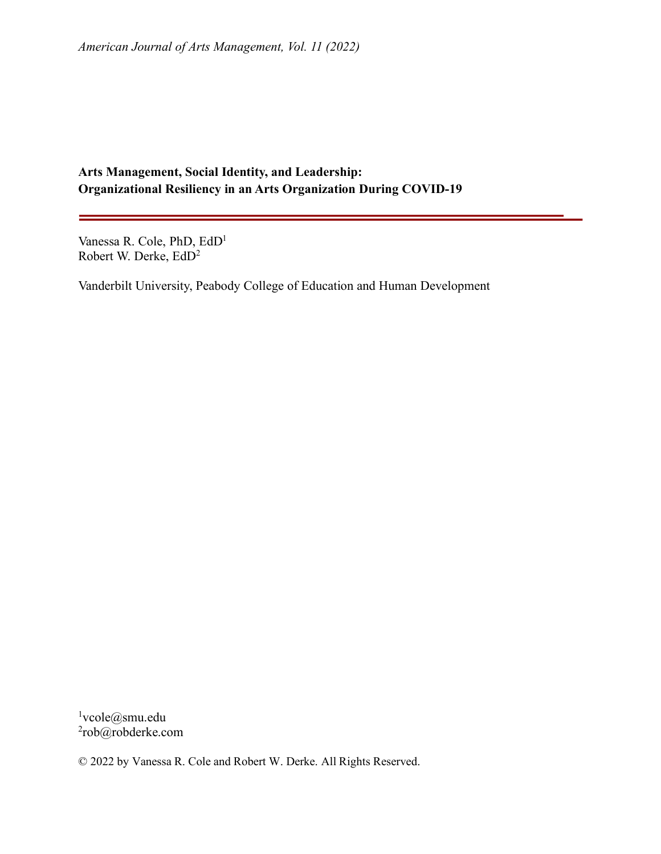# **Arts Management, Social Identity, and Leadership: Organizational Resiliency in an Arts Organization During COVID-19**

Vanessa R. Cole, PhD, EdD1 Robert W. Derke, EdD2

Vanderbilt University, Peabody College of Education and Human Development

<sup>1</sup>vcole@smu.edu 2rob@robderke.com

© 2022 by Vanessa R. Cole and Robert W. Derke. All Rights Reserved.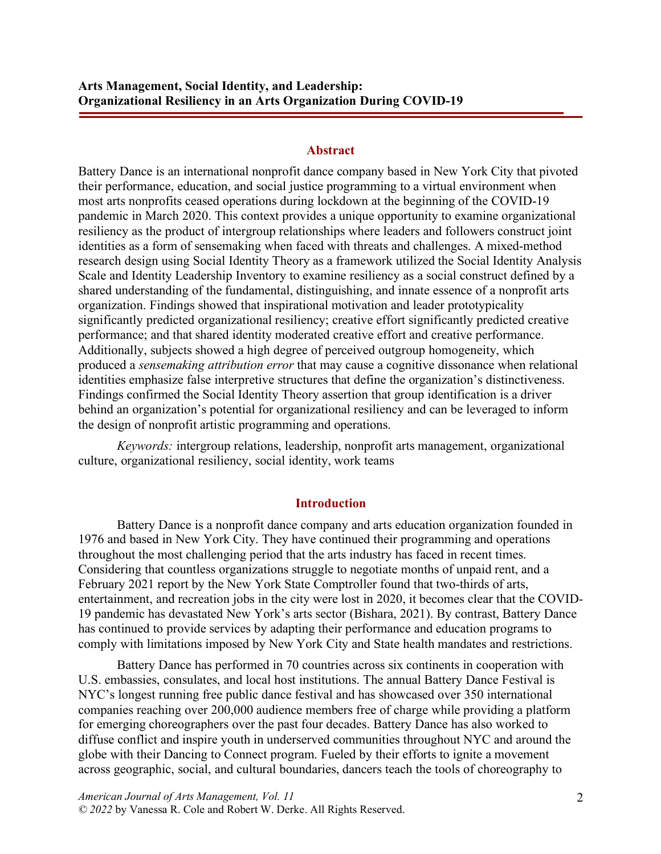### **Abstract**

Battery Dance is an international nonprofit dance company based in New York City that pivoted their performance, education, and social justice programming to a virtual environment when most arts nonprofits ceased operations during lockdown at the beginning of the COVID-19 pandemic in March 2020. This context provides a unique opportunity to examine organizational resiliency as the product of intergroup relationships where leaders and followers construct joint identities as a form of sensemaking when faced with threats and challenges. A mixed-method research design using Social Identity Theory as a framework utilized the Social Identity Analysis Scale and Identity Leadership Inventory to examine resiliency as a social construct defined by a shared understanding of the fundamental, distinguishing, and innate essence of a nonprofit arts organization. Findings showed that inspirational motivation and leader prototypicality significantly predicted organizational resiliency; creative effort significantly predicted creative performance; and that shared identity moderated creative effort and creative performance. Additionally, subjects showed a high degree of perceived outgroup homogeneity, which produced a *sensemaking attribution error* that may cause a cognitive dissonance when relational identities emphasize false interpretive structures that define the organization's distinctiveness. Findings confirmed the Social Identity Theory assertion that group identification is a driver behind an organization's potential for organizational resiliency and can be leveraged to inform the design of nonprofit artistic programming and operations.

*Keywords:* intergroup relations, leadership, nonprofit arts management, organizational culture, organizational resiliency, social identity, work teams

### **Introduction**

Battery Dance is a nonprofit dance company and arts education organization founded in 1976 and based in New York City. They have continued their programming and operations throughout the most challenging period that the arts industry has faced in recent times. Considering that countless organizations struggle to negotiate months of unpaid rent, and a February 2021 report by the New York State Comptroller found that two-thirds of arts, entertainment, and recreation jobs in the city were lost in 2020, it becomes clear that the COVID-19 pandemic has devastated New York's arts sector (Bishara, 2021). By contrast, Battery Dance has continued to provide services by adapting their performance and education programs to comply with limitations imposed by New York City and State health mandates and restrictions.

Battery Dance has performed in 70 countries across six continents in cooperation with U.S. embassies, consulates, and local host institutions. The annual Battery Dance Festival is NYC's longest running free public dance festival and has showcased over 350 international companies reaching over 200,000 audience members free of charge while providing a platform for emerging choreographers over the past four decades. Battery Dance has also worked to diffuse conflict and inspire youth in underserved communities throughout NYC and around the globe with their Dancing to Connect program. Fueled by their efforts to ignite a movement across geographic, social, and cultural boundaries, dancers teach the tools of choreography to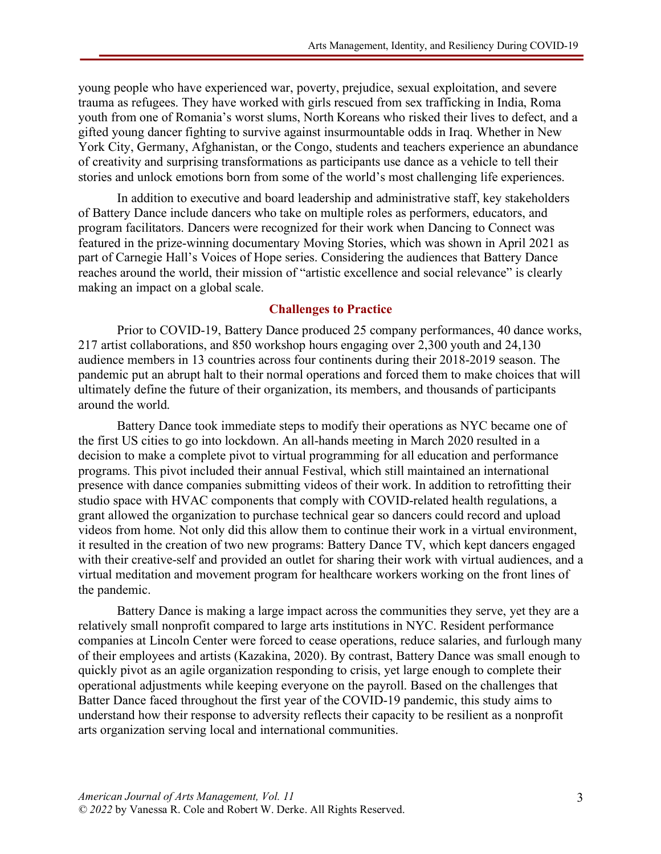young people who have experienced war, poverty, prejudice, sexual exploitation, and severe trauma as refugees. They have worked with girls rescued from sex trafficking in India, Roma youth from one of Romania's worst slums, North Koreans who risked their lives to defect, and a gifted young dancer fighting to survive against insurmountable odds in Iraq. Whether in New York City, Germany, Afghanistan, or the Congo, students and teachers experience an abundance of creativity and surprising transformations as participants use dance as a vehicle to tell their stories and unlock emotions born from some of the world's most challenging life experiences.

In addition to executive and board leadership and administrative staff, key stakeholders of Battery Dance include dancers who take on multiple roles as performers, educators, and program facilitators. Dancers were recognized for their work when Dancing to Connect was featured in the prize-winning documentary Moving Stories, which was shown in April 2021 as part of Carnegie Hall's Voices of Hope series. Considering the audiences that Battery Dance reaches around the world, their mission of "artistic excellence and social relevance" is clearly making an impact on a global scale.

## **Challenges to Practice**

Prior to COVID-19, Battery Dance produced 25 company performances, 40 dance works, 217 artist collaborations, and 850 workshop hours engaging over 2,300 youth and 24,130 audience members in 13 countries across four continents during their 2018-2019 season. The pandemic put an abrupt halt to their normal operations and forced them to make choices that will ultimately define the future of their organization, its members, and thousands of participants around the world.

Battery Dance took immediate steps to modify their operations as NYC became one of the first US cities to go into lockdown. An all-hands meeting in March 2020 resulted in a decision to make a complete pivot to virtual programming for all education and performance programs. This pivot included their annual Festival, which still maintained an international presence with dance companies submitting videos of their work. In addition to retrofitting their studio space with HVAC components that comply with COVID-related health regulations, a grant allowed the organization to purchase technical gear so dancers could record and upload videos from home. Not only did this allow them to continue their work in a virtual environment, it resulted in the creation of two new programs: Battery Dance TV, which kept dancers engaged with their creative-self and provided an outlet for sharing their work with virtual audiences, and a virtual meditation and movement program for healthcare workers working on the front lines of the pandemic.

Battery Dance is making a large impact across the communities they serve, yet they are a relatively small nonprofit compared to large arts institutions in NYC. Resident performance companies at Lincoln Center were forced to cease operations, reduce salaries, and furlough many of their employees and artists (Kazakina, 2020). By contrast, Battery Dance was small enough to quickly pivot as an agile organization responding to crisis, yet large enough to complete their operational adjustments while keeping everyone on the payroll. Based on the challenges that Batter Dance faced throughout the first year of the COVID-19 pandemic, this study aims to understand how their response to adversity reflects their capacity to be resilient as a nonprofit arts organization serving local and international communities.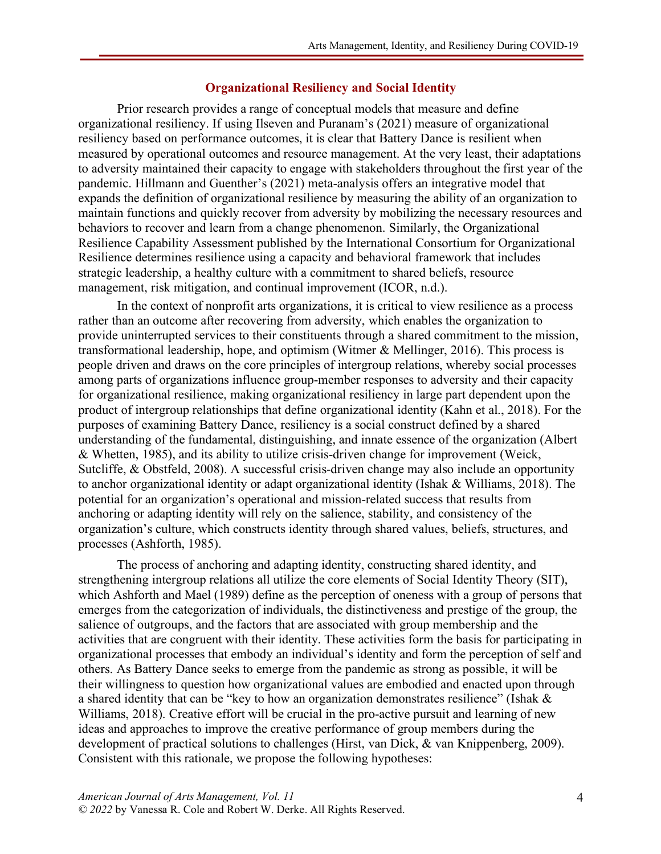#### **Organizational Resiliency and Social Identity**

Prior research provides a range of conceptual models that measure and define organizational resiliency. If using Ilseven and Puranam's (2021) measure of organizational resiliency based on performance outcomes, it is clear that Battery Dance is resilient when measured by operational outcomes and resource management. At the very least, their adaptations to adversity maintained their capacity to engage with stakeholders throughout the first year of the pandemic. Hillmann and Guenther's (2021) meta-analysis offers an integrative model that expands the definition of organizational resilience by measuring the ability of an organization to maintain functions and quickly recover from adversity by mobilizing the necessary resources and behaviors to recover and learn from a change phenomenon. Similarly, the Organizational Resilience Capability Assessment published by the International Consortium for Organizational Resilience determines resilience using a capacity and behavioral framework that includes strategic leadership, a healthy culture with a commitment to shared beliefs, resource management, risk mitigation, and continual improvement (ICOR, n.d.).

In the context of nonprofit arts organizations, it is critical to view resilience as a process rather than an outcome after recovering from adversity, which enables the organization to provide uninterrupted services to their constituents through a shared commitment to the mission, transformational leadership, hope, and optimism (Witmer & Mellinger, 2016). This process is people driven and draws on the core principles of intergroup relations, whereby social processes among parts of organizations influence group-member responses to adversity and their capacity for organizational resilience, making organizational resiliency in large part dependent upon the product of intergroup relationships that define organizational identity (Kahn et al., 2018). For the purposes of examining Battery Dance, resiliency is a social construct defined by a shared understanding of the fundamental, distinguishing, and innate essence of the organization (Albert & Whetten, 1985), and its ability to utilize crisis-driven change for improvement (Weick, Sutcliffe, & Obstfeld, 2008). A successful crisis-driven change may also include an opportunity to anchor organizational identity or adapt organizational identity (Ishak & Williams, 2018). The potential for an organization's operational and mission-related success that results from anchoring or adapting identity will rely on the salience, stability, and consistency of the organization's culture, which constructs identity through shared values, beliefs, structures, and processes (Ashforth, 1985).

The process of anchoring and adapting identity, constructing shared identity, and strengthening intergroup relations all utilize the core elements of Social Identity Theory (SIT), which Ashforth and Mael (1989) define as the perception of oneness with a group of persons that emerges from the categorization of individuals, the distinctiveness and prestige of the group, the salience of outgroups, and the factors that are associated with group membership and the activities that are congruent with their identity. These activities form the basis for participating in organizational processes that embody an individual's identity and form the perception of self and others. As Battery Dance seeks to emerge from the pandemic as strong as possible, it will be their willingness to question how organizational values are embodied and enacted upon through a shared identity that can be "key to how an organization demonstrates resilience" (Ishak & Williams, 2018). Creative effort will be crucial in the pro-active pursuit and learning of new ideas and approaches to improve the creative performance of group members during the development of practical solutions to challenges (Hirst, van Dick, & van Knippenberg, 2009). Consistent with this rationale, we propose the following hypotheses: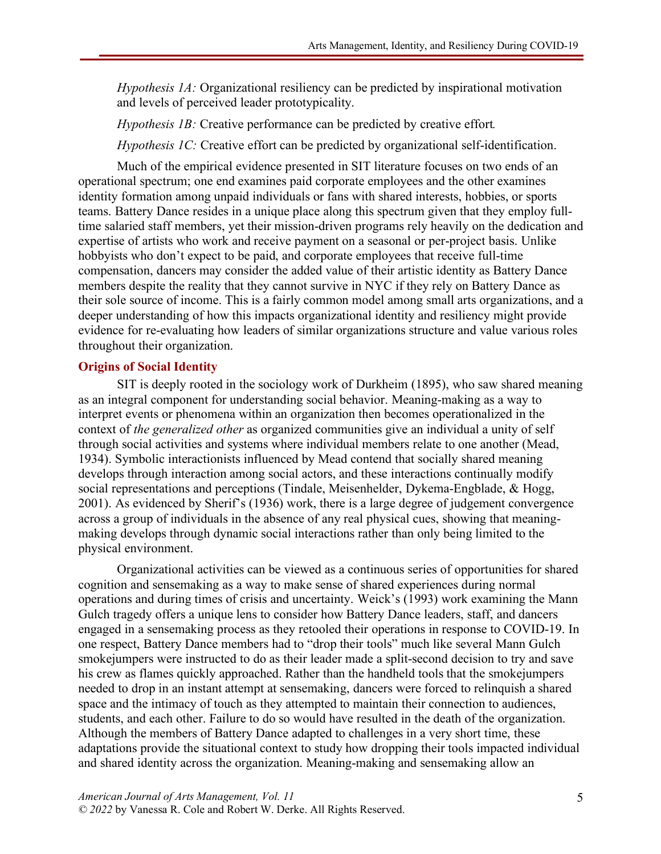*Hypothesis 1A:* Organizational resiliency can be predicted by inspirational motivation and levels of perceived leader prototypicality.

*Hypothesis 1B:* Creative performance can be predicted by creative effort*.*

*Hypothesis 1C:* Creative effort can be predicted by organizational self-identification.

Much of the empirical evidence presented in SIT literature focuses on two ends of an operational spectrum; one end examines paid corporate employees and the other examines identity formation among unpaid individuals or fans with shared interests, hobbies, or sports teams. Battery Dance resides in a unique place along this spectrum given that they employ fulltime salaried staff members, yet their mission-driven programs rely heavily on the dedication and expertise of artists who work and receive payment on a seasonal or per-project basis. Unlike hobbyists who don't expect to be paid, and corporate employees that receive full-time compensation, dancers may consider the added value of their artistic identity as Battery Dance members despite the reality that they cannot survive in NYC if they rely on Battery Dance as their sole source of income. This is a fairly common model among small arts organizations, and a deeper understanding of how this impacts organizational identity and resiliency might provide evidence for re-evaluating how leaders of similar organizations structure and value various roles throughout their organization.

## **Origins of Social Identity**

SIT is deeply rooted in the sociology work of Durkheim (1895), who saw shared meaning as an integral component for understanding social behavior. Meaning-making as a way to interpret events or phenomena within an organization then becomes operationalized in the context of *the generalized other* as organized communities give an individual a unity of self through social activities and systems where individual members relate to one another (Mead, 1934). Symbolic interactionists influenced by Mead contend that socially shared meaning develops through interaction among social actors, and these interactions continually modify social representations and perceptions (Tindale, Meisenhelder, Dykema-Engblade, & Hogg, 2001). As evidenced by Sherif's (1936) work, there is a large degree of judgement convergence across a group of individuals in the absence of any real physical cues, showing that meaningmaking develops through dynamic social interactions rather than only being limited to the physical environment.

Organizational activities can be viewed as a continuous series of opportunities for shared cognition and sensemaking as a way to make sense of shared experiences during normal operations and during times of crisis and uncertainty. Weick's (1993) work examining the Mann Gulch tragedy offers a unique lens to consider how Battery Dance leaders, staff, and dancers engaged in a sensemaking process as they retooled their operations in response to COVID-19. In one respect, Battery Dance members had to "drop their tools" much like several Mann Gulch smokejumpers were instructed to do as their leader made a split-second decision to try and save his crew as flames quickly approached. Rather than the handheld tools that the smokejumpers needed to drop in an instant attempt at sensemaking, dancers were forced to relinquish a shared space and the intimacy of touch as they attempted to maintain their connection to audiences, students, and each other. Failure to do so would have resulted in the death of the organization. Although the members of Battery Dance adapted to challenges in a very short time, these adaptations provide the situational context to study how dropping their tools impacted individual and shared identity across the organization. Meaning-making and sensemaking allow an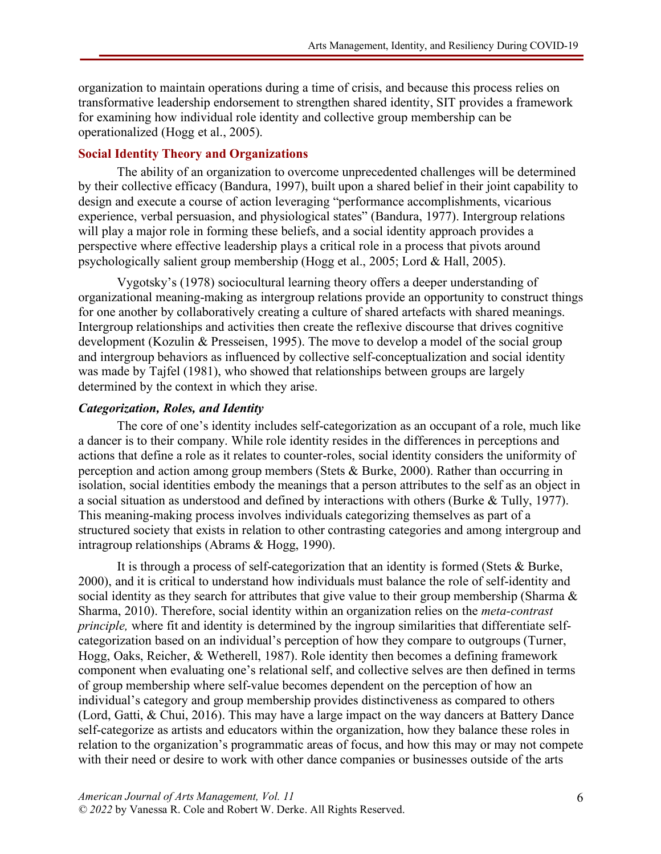organization to maintain operations during a time of crisis, and because this process relies on transformative leadership endorsement to strengthen shared identity, SIT provides a framework for examining how individual role identity and collective group membership can be operationalized (Hogg et al., 2005).

## **Social Identity Theory and Organizations**

The ability of an organization to overcome unprecedented challenges will be determined by their collective efficacy (Bandura, 1997), built upon a shared belief in their joint capability to design and execute a course of action leveraging "performance accomplishments, vicarious experience, verbal persuasion, and physiological states" (Bandura, 1977). Intergroup relations will play a major role in forming these beliefs, and a social identity approach provides a perspective where effective leadership plays a critical role in a process that pivots around psychologically salient group membership (Hogg et al., 2005; Lord & Hall, 2005).

Vygotsky's (1978) sociocultural learning theory offers a deeper understanding of organizational meaning-making as intergroup relations provide an opportunity to construct things for one another by collaboratively creating a culture of shared artefacts with shared meanings. Intergroup relationships and activities then create the reflexive discourse that drives cognitive development (Kozulin & Presseisen, 1995). The move to develop a model of the social group and intergroup behaviors as influenced by collective self-conceptualization and social identity was made by Tajfel (1981), who showed that relationships between groups are largely determined by the context in which they arise.

### *Categorization, Roles, and Identity*

The core of one's identity includes self-categorization as an occupant of a role, much like a dancer is to their company. While role identity resides in the differences in perceptions and actions that define a role as it relates to counter-roles, social identity considers the uniformity of perception and action among group members (Stets & Burke, 2000). Rather than occurring in isolation, social identities embody the meanings that a person attributes to the self as an object in a social situation as understood and defined by interactions with others (Burke & Tully, 1977). This meaning-making process involves individuals categorizing themselves as part of a structured society that exists in relation to other contrasting categories and among intergroup and intragroup relationships (Abrams & Hogg, 1990).

It is through a process of self-categorization that an identity is formed (Stets & Burke, 2000), and it is critical to understand how individuals must balance the role of self-identity and social identity as they search for attributes that give value to their group membership (Sharma  $\&$ Sharma, 2010). Therefore, social identity within an organization relies on the *meta-contrast principle,* where fit and identity is determined by the ingroup similarities that differentiate selfcategorization based on an individual's perception of how they compare to outgroups (Turner, Hogg, Oaks, Reicher, & Wetherell, 1987). Role identity then becomes a defining framework component when evaluating one's relational self, and collective selves are then defined in terms of group membership where self-value becomes dependent on the perception of how an individual's category and group membership provides distinctiveness as compared to others (Lord, Gatti, & Chui, 2016). This may have a large impact on the way dancers at Battery Dance self-categorize as artists and educators within the organization, how they balance these roles in relation to the organization's programmatic areas of focus, and how this may or may not compete with their need or desire to work with other dance companies or businesses outside of the arts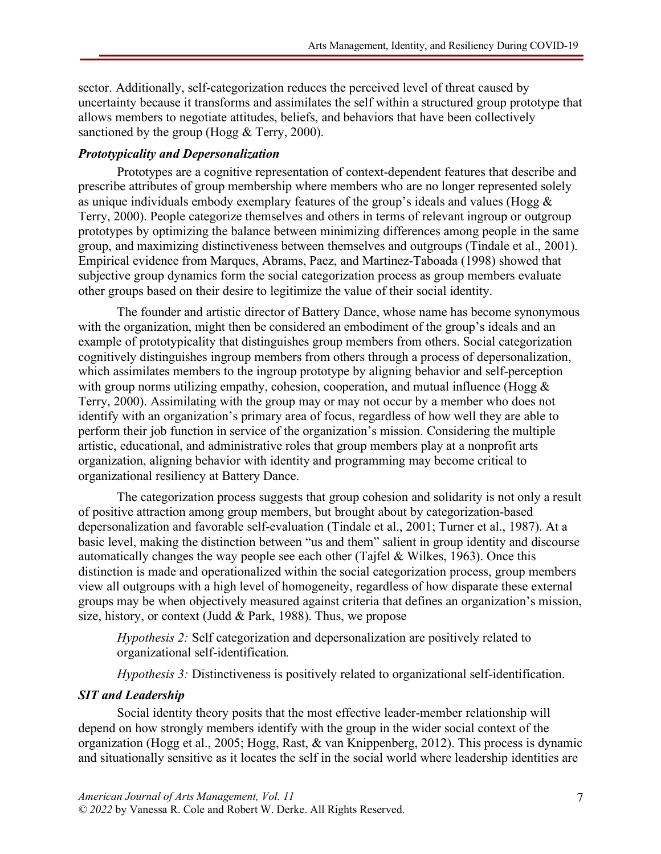sector. Additionally, self-categorization reduces the perceived level of threat caused by uncertainty because it transforms and assimilates the self within a structured group prototype that allows members to negotiate attitudes, beliefs, and behaviors that have been collectively sanctioned by the group (Hogg & Terry, 2000).

# *Prototypicality and Depersonalization*

Prototypes are a cognitive representation of context-dependent features that describe and prescribe attributes of group membership where members who are no longer represented solely as unique individuals embody exemplary features of the group's ideals and values (Hogg  $\&$ Terry, 2000). People categorize themselves and others in terms of relevant ingroup or outgroup prototypes by optimizing the balance between minimizing differences among people in the same group, and maximizing distinctiveness between themselves and outgroups (Tindale et al., 2001). Empirical evidence from Marques, Abrams, Paez, and Martinez-Taboada (1998) showed that subjective group dynamics form the social categorization process as group members evaluate other groups based on their desire to legitimize the value of their social identity.

The founder and artistic director of Battery Dance, whose name has become synonymous with the organization, might then be considered an embodiment of the group's ideals and an example of prototypicality that distinguishes group members from others. Social categorization cognitively distinguishes ingroup members from others through a process of depersonalization, which assimilates members to the ingroup prototype by aligning behavior and self-perception with group norms utilizing empathy, cohesion, cooperation, and mutual influence (Hogg  $\&$ Terry, 2000). Assimilating with the group may or may not occur by a member who does not identify with an organization's primary area of focus, regardless of how well they are able to perform their job function in service of the organization's mission. Considering the multiple artistic, educational, and administrative roles that group members play at a nonprofit arts organization, aligning behavior with identity and programming may become critical to organizational resiliency at Battery Dance.

The categorization process suggests that group cohesion and solidarity is not only a result of positive attraction among group members, but brought about by categorization-based depersonalization and favorable self-evaluation (Tindale et al., 2001; Turner et al., 1987). At a basic level, making the distinction between "us and them" salient in group identity and discourse automatically changes the way people see each other (Tajfel & Wilkes, 1963). Once this distinction is made and operationalized within the social categorization process, group members view all outgroups with a high level of homogeneity, regardless of how disparate these external groups may be when objectively measured against criteria that defines an organization's mission, size, history, or context (Judd & Park, 1988). Thus, we propose

*Hypothesis 2:* Self categorization and depersonalization are positively related to organizational self-identification*.*

*Hypothesis 3:* Distinctiveness is positively related to organizational self-identification.

# *SIT and Leadership*

Social identity theory posits that the most effective leader-member relationship will depend on how strongly members identify with the group in the wider social context of the organization (Hogg et al., 2005; Hogg, Rast, & van Knippenberg, 2012). This process is dynamic and situationally sensitive as it locates the self in the social world where leadership identities are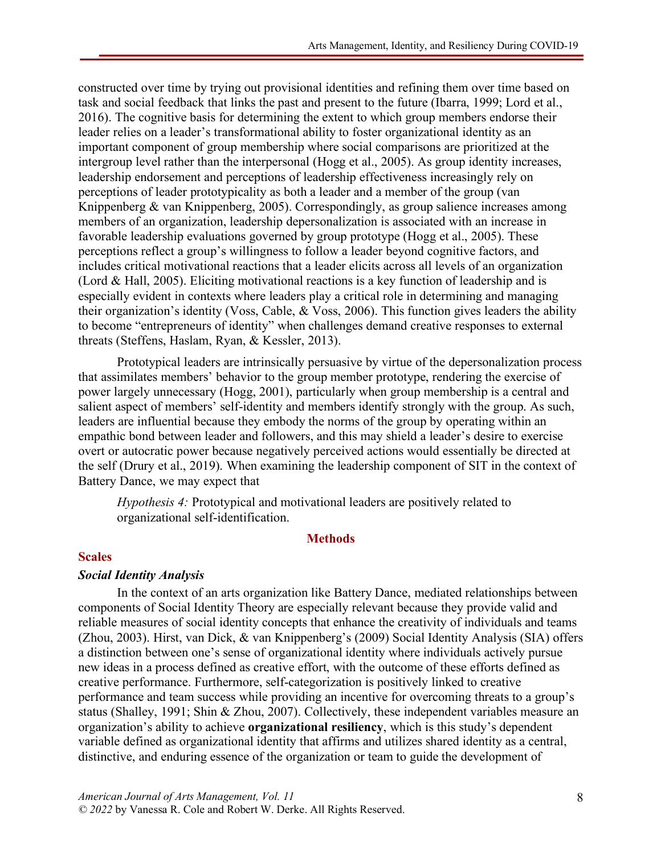constructed over time by trying out provisional identities and refining them over time based on task and social feedback that links the past and present to the future (Ibarra, 1999; Lord et al., 2016). The cognitive basis for determining the extent to which group members endorse their leader relies on a leader's transformational ability to foster organizational identity as an important component of group membership where social comparisons are prioritized at the intergroup level rather than the interpersonal (Hogg et al., 2005). As group identity increases, leadership endorsement and perceptions of leadership effectiveness increasingly rely on perceptions of leader prototypicality as both a leader and a member of the group (van Knippenberg & van Knippenberg, 2005). Correspondingly, as group salience increases among members of an organization, leadership depersonalization is associated with an increase in favorable leadership evaluations governed by group prototype (Hogg et al., 2005). These perceptions reflect a group's willingness to follow a leader beyond cognitive factors, and includes critical motivational reactions that a leader elicits across all levels of an organization (Lord & Hall, 2005). Eliciting motivational reactions is a key function of leadership and is especially evident in contexts where leaders play a critical role in determining and managing their organization's identity (Voss, Cable, & Voss, 2006). This function gives leaders the ability to become "entrepreneurs of identity" when challenges demand creative responses to external threats (Steffens, Haslam, Ryan, & Kessler, 2013).

Prototypical leaders are intrinsically persuasive by virtue of the depersonalization process that assimilates members' behavior to the group member prototype, rendering the exercise of power largely unnecessary (Hogg, 2001), particularly when group membership is a central and salient aspect of members' self-identity and members identify strongly with the group. As such, leaders are influential because they embody the norms of the group by operating within an empathic bond between leader and followers, and this may shield a leader's desire to exercise overt or autocratic power because negatively perceived actions would essentially be directed at the self (Drury et al., 2019). When examining the leadership component of SIT in the context of Battery Dance, we may expect that

*Hypothesis 4:* Prototypical and motivational leaders are positively related to organizational self-identification.

# **Methods**

### **Scales**

# *Social Identity Analysis*

In the context of an arts organization like Battery Dance, mediated relationships between components of Social Identity Theory are especially relevant because they provide valid and reliable measures of social identity concepts that enhance the creativity of individuals and teams (Zhou, 2003). Hirst, van Dick, & van Knippenberg's (2009) Social Identity Analysis (SIA) offers a distinction between one's sense of organizational identity where individuals actively pursue new ideas in a process defined as creative effort, with the outcome of these efforts defined as creative performance. Furthermore, self-categorization is positively linked to creative performance and team success while providing an incentive for overcoming threats to a group's status (Shalley, 1991; Shin & Zhou, 2007). Collectively, these independent variables measure an organization's ability to achieve **organizational resiliency**, which is this study's dependent variable defined as organizational identity that affirms and utilizes shared identity as a central, distinctive, and enduring essence of the organization or team to guide the development of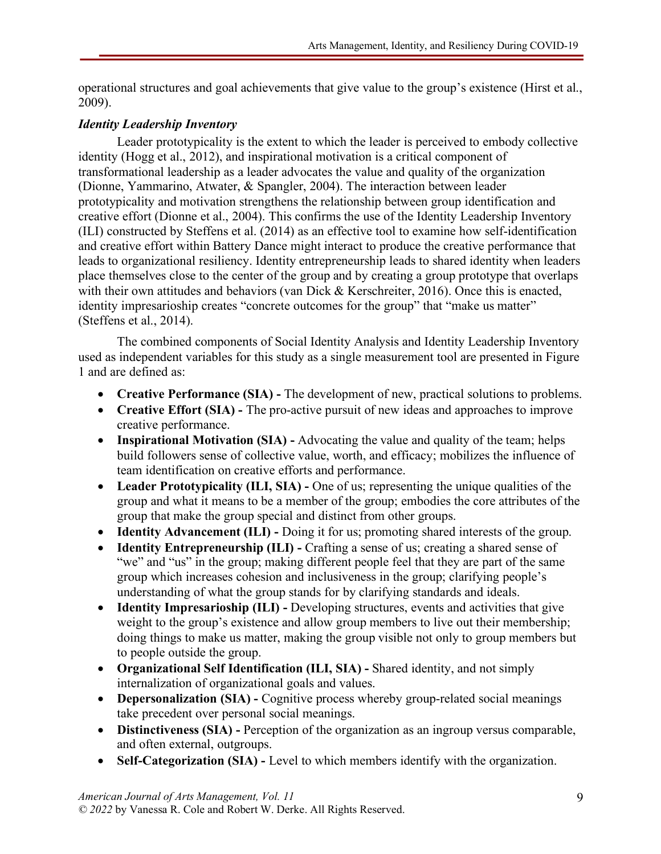operational structures and goal achievements that give value to the group's existence (Hirst et al., 2009).

# *Identity Leadership Inventory*

Leader prototypicality is the extent to which the leader is perceived to embody collective identity (Hogg et al., 2012), and inspirational motivation is a critical component of transformational leadership as a leader advocates the value and quality of the organization (Dionne, Yammarino, Atwater, & Spangler, 2004). The interaction between leader prototypicality and motivation strengthens the relationship between group identification and creative effort (Dionne et al., 2004). This confirms the use of the Identity Leadership Inventory (ILI) constructed by Steffens et al. (2014) as an effective tool to examine how self-identification and creative effort within Battery Dance might interact to produce the creative performance that leads to organizational resiliency. Identity entrepreneurship leads to shared identity when leaders place themselves close to the center of the group and by creating a group prototype that overlaps with their own attitudes and behaviors (van Dick & Kerschreiter, 2016). Once this is enacted, identity impresarioship creates "concrete outcomes for the group" that "make us matter" (Steffens et al., 2014).

The combined components of Social Identity Analysis and Identity Leadership Inventory used as independent variables for this study as a single measurement tool are presented in Figure 1 and are defined as:

- **Creative Performance (SIA) -** The development of new, practical solutions to problems.
- **Creative Effort (SIA) -** The pro-active pursuit of new ideas and approaches to improve creative performance.
- **Inspirational Motivation (SIA) -** Advocating the value and quality of the team; helps build followers sense of collective value, worth, and efficacy; mobilizes the influence of team identification on creative efforts and performance.
- **Leader Prototypicality (ILI, SIA) -** One of us; representing the unique qualities of the group and what it means to be a member of the group; embodies the core attributes of the group that make the group special and distinct from other groups.
- **Identity Advancement (ILI) -** Doing it for us; promoting shared interests of the group.
- **Identity Entrepreneurship (ILI) -** Crafting a sense of us; creating a shared sense of "we" and "us" in the group; making different people feel that they are part of the same group which increases cohesion and inclusiveness in the group; clarifying people's understanding of what the group stands for by clarifying standards and ideals.
- **Identity Impresarioship (ILI) -** Developing structures, events and activities that give weight to the group's existence and allow group members to live out their membership; doing things to make us matter, making the group visible not only to group members but to people outside the group.
- **Organizational Self Identification (ILI, SIA) -** Shared identity, and not simply internalization of organizational goals and values.
- **Depersonalization (SIA) -** Cognitive process whereby group-related social meanings take precedent over personal social meanings.
- **Distinctiveness (SIA) -** Perception of the organization as an ingroup versus comparable, and often external, outgroups.
- **Self-Categorization (SIA) -** Level to which members identify with the organization.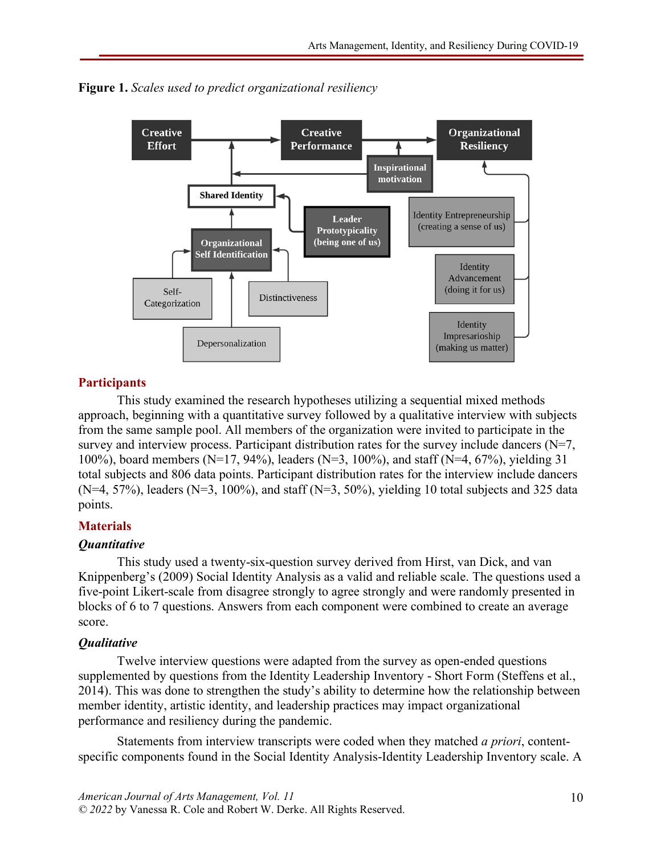

**Figure 1.** *Scales used to predict organizational resiliency*

# **Participants**

This study examined the research hypotheses utilizing a sequential mixed methods approach, beginning with a quantitative survey followed by a qualitative interview with subjects from the same sample pool. All members of the organization were invited to participate in the survey and interview process. Participant distribution rates for the survey include dancers (N=7, 100%), board members (N=17, 94%), leaders (N=3, 100%), and staff (N=4, 67%), yielding 31 total subjects and 806 data points. Participant distribution rates for the interview include dancers  $(N=4, 57%)$ , leaders  $(N=3, 100%)$ , and staff  $(N=3, 50%)$ , yielding 10 total subjects and 325 data points.

# **Materials**

# *Quantitative*

This study used a twenty-six-question survey derived from Hirst, van Dick, and van Knippenberg's (2009) Social Identity Analysis as a valid and reliable scale. The questions used a five-point Likert-scale from disagree strongly to agree strongly and were randomly presented in blocks of 6 to 7 questions. Answers from each component were combined to create an average score.

# *Qualitative*

Twelve interview questions were adapted from the survey as open-ended questions supplemented by questions from the Identity Leadership Inventory - Short Form (Steffens et al., 2014). This was done to strengthen the study's ability to determine how the relationship between member identity, artistic identity, and leadership practices may impact organizational performance and resiliency during the pandemic.

Statements from interview transcripts were coded when they matched *a priori*, contentspecific components found in the Social Identity Analysis-Identity Leadership Inventory scale. A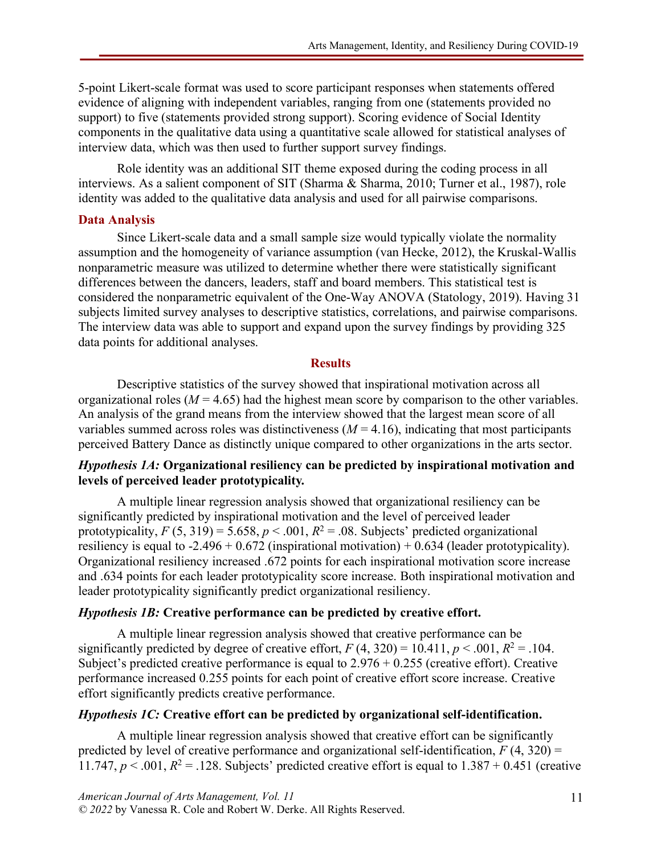5-point Likert-scale format was used to score participant responses when statements offered evidence of aligning with independent variables, ranging from one (statements provided no support) to five (statements provided strong support). Scoring evidence of Social Identity components in the qualitative data using a quantitative scale allowed for statistical analyses of interview data, which was then used to further support survey findings.

Role identity was an additional SIT theme exposed during the coding process in all interviews. As a salient component of SIT (Sharma & Sharma, 2010; Turner et al., 1987), role identity was added to the qualitative data analysis and used for all pairwise comparisons.

## **Data Analysis**

Since Likert-scale data and a small sample size would typically violate the normality assumption and the homogeneity of variance assumption (van Hecke, 2012), the Kruskal-Wallis nonparametric measure was utilized to determine whether there were statistically significant differences between the dancers, leaders, staff and board members. This statistical test is considered the nonparametric equivalent of the One-Way ANOVA (Statology, 2019). Having 31 subjects limited survey analyses to descriptive statistics, correlations, and pairwise comparisons. The interview data was able to support and expand upon the survey findings by providing 325 data points for additional analyses.

## **Results**

Descriptive statistics of the survey showed that inspirational motivation across all organizational roles ( $M = 4.65$ ) had the highest mean score by comparison to the other variables. An analysis of the grand means from the interview showed that the largest mean score of all variables summed across roles was distinctiveness  $(M = 4.16)$ , indicating that most participants perceived Battery Dance as distinctly unique compared to other organizations in the arts sector.

# *Hypothesis 1A:* **Organizational resiliency can be predicted by inspirational motivation and levels of perceived leader prototypicality***.*

A multiple linear regression analysis showed that organizational resiliency can be significantly predicted by inspirational motivation and the level of perceived leader prototypicality,  $F(5, 319) = 5.658$ ,  $p < .001$ ,  $R^2 = .08$ . Subjects' predicted organizational resiliency is equal to  $-2.496 + 0.672$  (inspirational motivation)  $+0.634$  (leader prototypicality). Organizational resiliency increased .672 points for each inspirational motivation score increase and .634 points for each leader prototypicality score increase. Both inspirational motivation and leader prototypicality significantly predict organizational resiliency.

### *Hypothesis 1B:* **Creative performance can be predicted by creative effort.**

A multiple linear regression analysis showed that creative performance can be significantly predicted by degree of creative effort,  $F(4, 320) = 10.411$ ,  $p < .001$ ,  $R^2 = .104$ . Subject's predicted creative performance is equal to  $2.976 + 0.255$  (creative effort). Creative performance increased 0.255 points for each point of creative effort score increase. Creative effort significantly predicts creative performance.

### *Hypothesis 1C:* **Creative effort can be predicted by organizational self-identification.**

A multiple linear regression analysis showed that creative effort can be significantly predicted by level of creative performance and organizational self-identification,  $F(4, 320) =$ 11.747,  $p < .001$ ,  $R^2 = .128$ . Subjects' predicted creative effort is equal to  $1.387 + 0.451$  (creative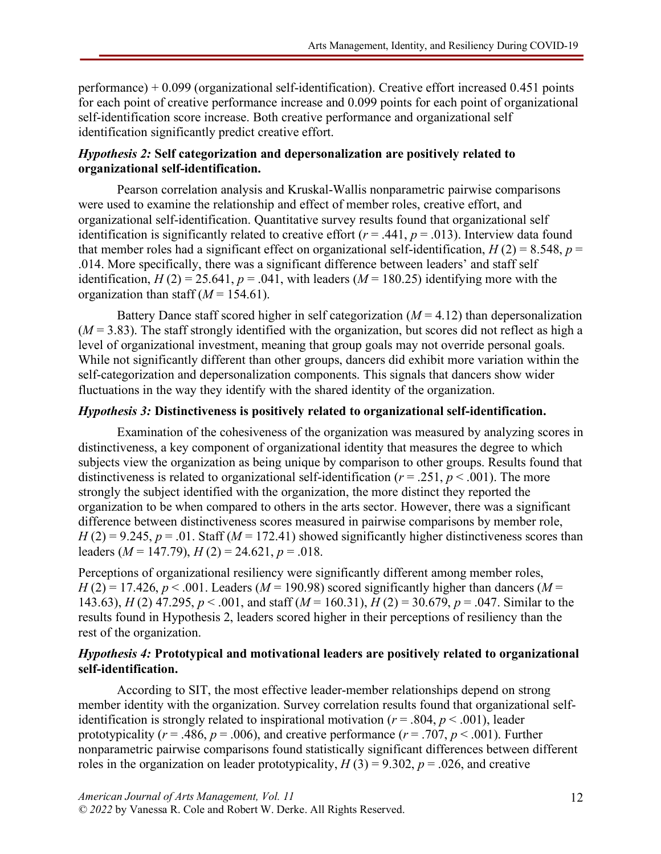performance) + 0.099 (organizational self-identification). Creative effort increased 0.451 points for each point of creative performance increase and 0.099 points for each point of organizational self-identification score increase. Both creative performance and organizational self identification significantly predict creative effort.

# *Hypothesis 2:* **Self categorization and depersonalization are positively related to organizational self-identification.**

Pearson correlation analysis and Kruskal-Wallis nonparametric pairwise comparisons were used to examine the relationship and effect of member roles, creative effort, and organizational self-identification. Quantitative survey results found that organizational self identification is significantly related to creative effort  $(r = .441, p = .013)$ . Interview data found that member roles had a significant effect on organizational self-identification,  $H(2) = 8.548$ ,  $p =$ .014. More specifically, there was a significant difference between leaders' and staff self identification,  $H(2) = 25.641$ ,  $p = .041$ , with leaders ( $M = 180.25$ ) identifying more with the organization than staff  $(M = 154.61)$ .

Battery Dance staff scored higher in self categorization  $(M = 4.12)$  than depersonalization  $(M = 3.83)$ . The staff strongly identified with the organization, but scores did not reflect as high a level of organizational investment, meaning that group goals may not override personal goals. While not significantly different than other groups, dancers did exhibit more variation within the self-categorization and depersonalization components. This signals that dancers show wider fluctuations in the way they identify with the shared identity of the organization.

# *Hypothesis 3:* **Distinctiveness is positively related to organizational self-identification.**

Examination of the cohesiveness of the organization was measured by analyzing scores in distinctiveness, a key component of organizational identity that measures the degree to which subjects view the organization as being unique by comparison to other groups. Results found that distinctiveness is related to organizational self-identification ( $r = .251$ ,  $p < .001$ ). The more strongly the subject identified with the organization, the more distinct they reported the organization to be when compared to others in the arts sector. However, there was a significant difference between distinctiveness scores measured in pairwise comparisons by member role,  $H(2) = 9.245$ ,  $p = .01$ . Staff ( $M = 172.41$ ) showed significantly higher distinctiveness scores than leaders ( $M = 147.79$ ),  $H(2) = 24.621$ ,  $p = .018$ .

Perceptions of organizational resiliency were significantly different among member roles,  $H(2) = 17.426$ ,  $p < .001$ . Leaders ( $M = 190.98$ ) scored significantly higher than dancers ( $M =$ 143.63), *H* (2) 47.295, *p* < .001, and staff (*M* = 160.31), *H* (2) = 30.679, *p* = .047. Similar to the results found in Hypothesis 2, leaders scored higher in their perceptions of resiliency than the rest of the organization.

# *Hypothesis 4:* **Prototypical and motivational leaders are positively related to organizational self-identification.**

According to SIT, the most effective leader-member relationships depend on strong member identity with the organization. Survey correlation results found that organizational selfidentification is strongly related to inspirational motivation ( $r = .804$ ,  $p < .001$ ), leader prototypicality ( $r = .486$ ,  $p = .006$ ), and creative performance ( $r = .707$ ,  $p < .001$ ). Further nonparametric pairwise comparisons found statistically significant differences between different roles in the organization on leader prototypicality,  $H(3) = 9.302$ ,  $p = .026$ , and creative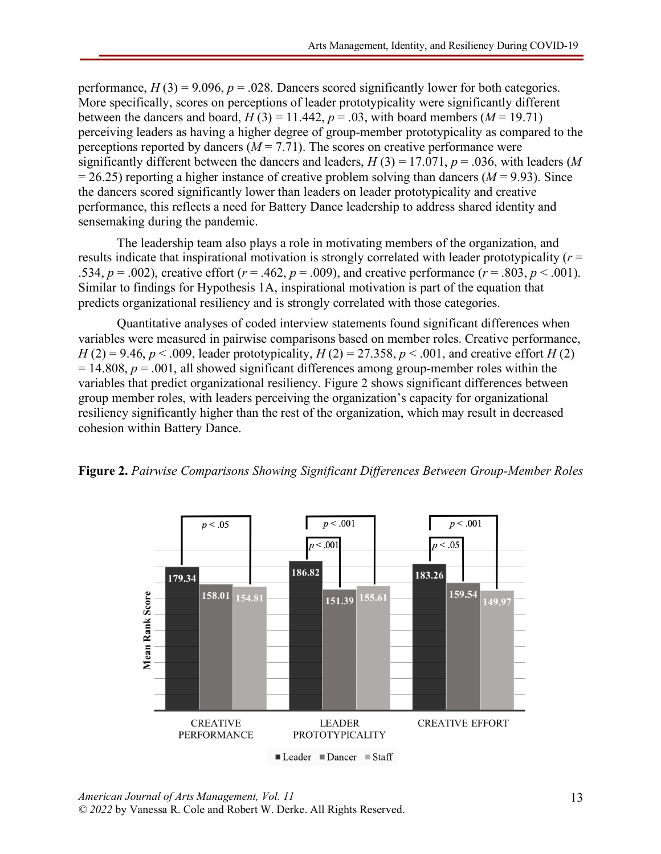performance,  $H(3) = 9.096$ ,  $p = 0.028$ . Dancers scored significantly lower for both categories. More specifically, scores on perceptions of leader prototypicality were significantly different between the dancers and board,  $H(3) = 11.442$ ,  $p = .03$ , with board members ( $M = 19.71$ ) perceiving leaders as having a higher degree of group-member prototypicality as compared to the perceptions reported by dancers  $(M = 7.71)$ . The scores on creative performance were significantly different between the dancers and leaders,  $H(3) = 17.071$ ,  $p = .036$ , with leaders (*M*  $= 26.25$ ) reporting a higher instance of creative problem solving than dancers ( $M = 9.93$ ). Since the dancers scored significantly lower than leaders on leader prototypicality and creative performance, this reflects a need for Battery Dance leadership to address shared identity and sensemaking during the pandemic.

The leadership team also plays a role in motivating members of the organization, and results indicate that inspirational motivation is strongly correlated with leader prototypicality (*r* = .534,  $p = .002$ ), creative effort ( $r = .462$ ,  $p = .009$ ), and creative performance ( $r = .803$ ,  $p < .001$ ). Similar to findings for Hypothesis 1A, inspirational motivation is part of the equation that predicts organizational resiliency and is strongly correlated with those categories.

Quantitative analyses of coded interview statements found significant differences when variables were measured in pairwise comparisons based on member roles. Creative performance, *H* (2) = 9.46, *p* < .009, leader prototypicality, *H* (2) = 27.358, *p* < .001, and creative effort *H* (2)  $= 14.808$ ,  $p = .001$ , all showed significant differences among group-member roles within the variables that predict organizational resiliency. Figure 2 shows significant differences between group member roles, with leaders perceiving the organization's capacity for organizational resiliency significantly higher than the rest of the organization, which may result in decreased cohesion within Battery Dance.



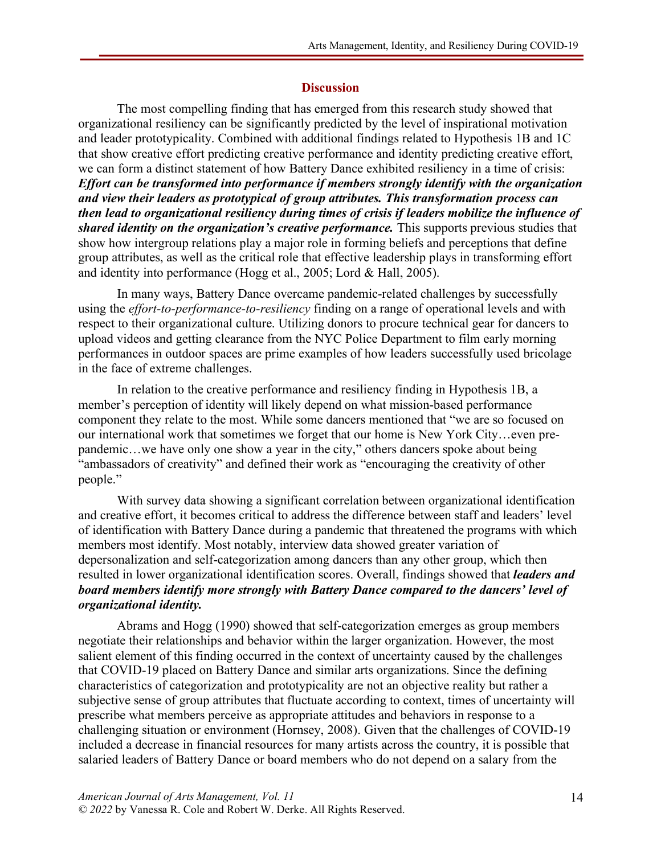#### **Discussion**

The most compelling finding that has emerged from this research study showed that organizational resiliency can be significantly predicted by the level of inspirational motivation and leader prototypicality. Combined with additional findings related to Hypothesis 1B and 1C that show creative effort predicting creative performance and identity predicting creative effort, we can form a distinct statement of how Battery Dance exhibited resiliency in a time of crisis: *Effort can be transformed into performance if members strongly identify with the organization and view their leaders as prototypical of group attributes. This transformation process can then lead to organizational resiliency during times of crisis if leaders mobilize the influence of shared identity on the organization's creative performance.* This supports previous studies that show how intergroup relations play a major role in forming beliefs and perceptions that define group attributes, as well as the critical role that effective leadership plays in transforming effort and identity into performance (Hogg et al., 2005; Lord & Hall, 2005).

In many ways, Battery Dance overcame pandemic-related challenges by successfully using the *effort-to-performance-to-resiliency* finding on a range of operational levels and with respect to their organizational culture. Utilizing donors to procure technical gear for dancers to upload videos and getting clearance from the NYC Police Department to film early morning performances in outdoor spaces are prime examples of how leaders successfully used bricolage in the face of extreme challenges.

In relation to the creative performance and resiliency finding in Hypothesis 1B, a member's perception of identity will likely depend on what mission-based performance component they relate to the most. While some dancers mentioned that "we are so focused on our international work that sometimes we forget that our home is New York City…even prepandemic…we have only one show a year in the city," others dancers spoke about being "ambassadors of creativity" and defined their work as "encouraging the creativity of other people."

With survey data showing a significant correlation between organizational identification and creative effort, it becomes critical to address the difference between staff and leaders' level of identification with Battery Dance during a pandemic that threatened the programs with which members most identify. Most notably, interview data showed greater variation of depersonalization and self-categorization among dancers than any other group, which then resulted in lower organizational identification scores. Overall, findings showed that *leaders and board members identify more strongly with Battery Dance compared to the dancers' level of organizational identity.*

Abrams and Hogg (1990) showed that self-categorization emerges as group members negotiate their relationships and behavior within the larger organization. However, the most salient element of this finding occurred in the context of uncertainty caused by the challenges that COVID-19 placed on Battery Dance and similar arts organizations. Since the defining characteristics of categorization and prototypicality are not an objective reality but rather a subjective sense of group attributes that fluctuate according to context, times of uncertainty will prescribe what members perceive as appropriate attitudes and behaviors in response to a challenging situation or environment (Hornsey, 2008). Given that the challenges of COVID-19 included a decrease in financial resources for many artists across the country, it is possible that salaried leaders of Battery Dance or board members who do not depend on a salary from the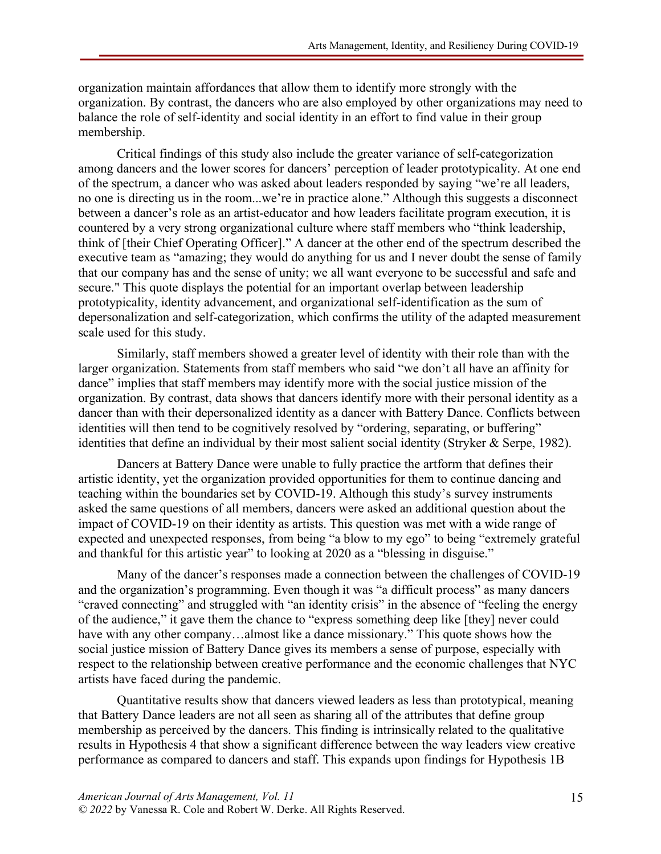organization maintain affordances that allow them to identify more strongly with the organization. By contrast, the dancers who are also employed by other organizations may need to balance the role of self-identity and social identity in an effort to find value in their group membership.

Critical findings of this study also include the greater variance of self-categorization among dancers and the lower scores for dancers' perception of leader prototypicality. At one end of the spectrum, a dancer who was asked about leaders responded by saying "we're all leaders, no one is directing us in the room...we're in practice alone." Although this suggests a disconnect between a dancer's role as an artist-educator and how leaders facilitate program execution, it is countered by a very strong organizational culture where staff members who "think leadership, think of [their Chief Operating Officer]." A dancer at the other end of the spectrum described the executive team as "amazing; they would do anything for us and I never doubt the sense of family that our company has and the sense of unity; we all want everyone to be successful and safe and secure." This quote displays the potential for an important overlap between leadership prototypicality, identity advancement, and organizational self-identification as the sum of depersonalization and self-categorization, which confirms the utility of the adapted measurement scale used for this study.

Similarly, staff members showed a greater level of identity with their role than with the larger organization. Statements from staff members who said "we don't all have an affinity for dance" implies that staff members may identify more with the social justice mission of the organization. By contrast, data shows that dancers identify more with their personal identity as a dancer than with their depersonalized identity as a dancer with Battery Dance. Conflicts between identities will then tend to be cognitively resolved by "ordering, separating, or buffering" identities that define an individual by their most salient social identity (Stryker & Serpe, 1982).

Dancers at Battery Dance were unable to fully practice the artform that defines their artistic identity, yet the organization provided opportunities for them to continue dancing and teaching within the boundaries set by COVID-19. Although this study's survey instruments asked the same questions of all members, dancers were asked an additional question about the impact of COVID-19 on their identity as artists. This question was met with a wide range of expected and unexpected responses, from being "a blow to my ego" to being "extremely grateful and thankful for this artistic year" to looking at 2020 as a "blessing in disguise."

Many of the dancer's responses made a connection between the challenges of COVID-19 and the organization's programming. Even though it was "a difficult process" as many dancers "craved connecting" and struggled with "an identity crisis" in the absence of "feeling the energy of the audience," it gave them the chance to "express something deep like [they] never could have with any other company...almost like a dance missionary." This quote shows how the social justice mission of Battery Dance gives its members a sense of purpose, especially with respect to the relationship between creative performance and the economic challenges that NYC artists have faced during the pandemic.

Quantitative results show that dancers viewed leaders as less than prototypical, meaning that Battery Dance leaders are not all seen as sharing all of the attributes that define group membership as perceived by the dancers. This finding is intrinsically related to the qualitative results in Hypothesis 4 that show a significant difference between the way leaders view creative performance as compared to dancers and staff. This expands upon findings for Hypothesis 1B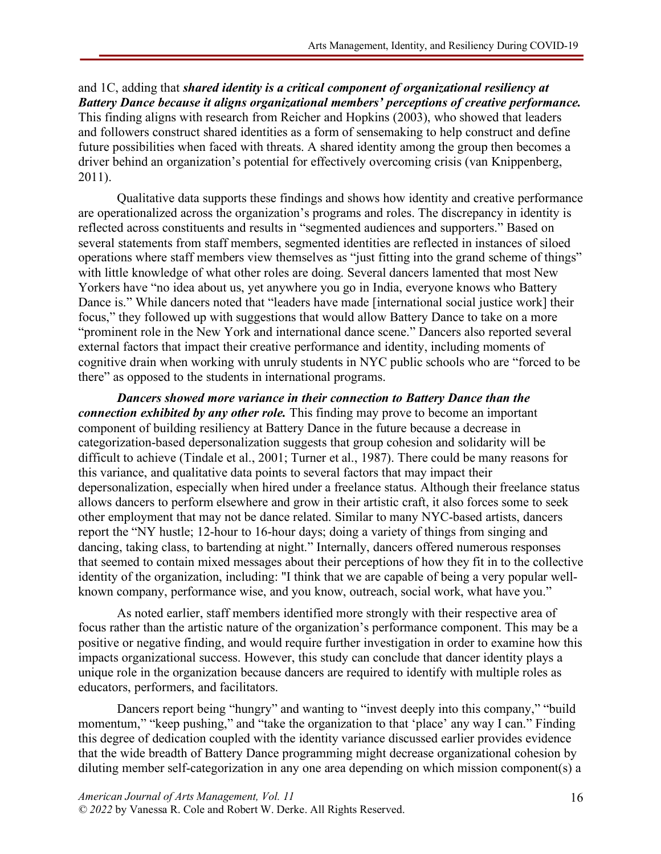and 1C, adding that *shared identity is a critical component of organizational resiliency at Battery Dance because it aligns organizational members' perceptions of creative performance.* This finding aligns with research from Reicher and Hopkins (2003), who showed that leaders and followers construct shared identities as a form of sensemaking to help construct and define future possibilities when faced with threats. A shared identity among the group then becomes a driver behind an organization's potential for effectively overcoming crisis (van Knippenberg, 2011).

Qualitative data supports these findings and shows how identity and creative performance are operationalized across the organization's programs and roles. The discrepancy in identity is reflected across constituents and results in "segmented audiences and supporters." Based on several statements from staff members, segmented identities are reflected in instances of siloed operations where staff members view themselves as "just fitting into the grand scheme of things" with little knowledge of what other roles are doing. Several dancers lamented that most New Yorkers have "no idea about us, yet anywhere you go in India, everyone knows who Battery Dance is." While dancers noted that "leaders have made [international social justice work] their focus," they followed up with suggestions that would allow Battery Dance to take on a more "prominent role in the New York and international dance scene." Dancers also reported several external factors that impact their creative performance and identity, including moments of cognitive drain when working with unruly students in NYC public schools who are "forced to be there" as opposed to the students in international programs.

*Dancers showed more variance in their connection to Battery Dance than the connection exhibited by any other role.* This finding may prove to become an important component of building resiliency at Battery Dance in the future because a decrease in categorization-based depersonalization suggests that group cohesion and solidarity will be difficult to achieve (Tindale et al., 2001; Turner et al., 1987). There could be many reasons for this variance, and qualitative data points to several factors that may impact their depersonalization, especially when hired under a freelance status. Although their freelance status allows dancers to perform elsewhere and grow in their artistic craft, it also forces some to seek other employment that may not be dance related. Similar to many NYC-based artists, dancers report the "NY hustle; 12-hour to 16-hour days; doing a variety of things from singing and dancing, taking class, to bartending at night." Internally, dancers offered numerous responses that seemed to contain mixed messages about their perceptions of how they fit in to the collective identity of the organization, including: "I think that we are capable of being a very popular wellknown company, performance wise, and you know, outreach, social work, what have you."

As noted earlier, staff members identified more strongly with their respective area of focus rather than the artistic nature of the organization's performance component. This may be a positive or negative finding, and would require further investigation in order to examine how this impacts organizational success. However, this study can conclude that dancer identity plays a unique role in the organization because dancers are required to identify with multiple roles as educators, performers, and facilitators.

Dancers report being "hungry" and wanting to "invest deeply into this company," "build momentum," "keep pushing," and "take the organization to that 'place' any way I can." Finding this degree of dedication coupled with the identity variance discussed earlier provides evidence that the wide breadth of Battery Dance programming might decrease organizational cohesion by diluting member self-categorization in any one area depending on which mission component(s) a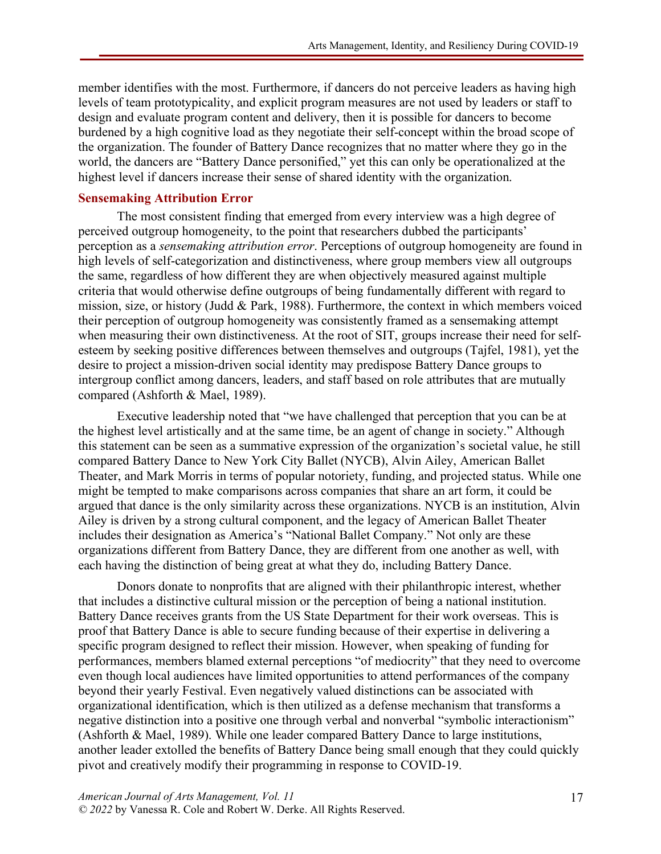member identifies with the most. Furthermore, if dancers do not perceive leaders as having high levels of team prototypicality, and explicit program measures are not used by leaders or staff to design and evaluate program content and delivery, then it is possible for dancers to become burdened by a high cognitive load as they negotiate their self-concept within the broad scope of the organization. The founder of Battery Dance recognizes that no matter where they go in the world, the dancers are "Battery Dance personified," yet this can only be operationalized at the highest level if dancers increase their sense of shared identity with the organization.

## **Sensemaking Attribution Error**

The most consistent finding that emerged from every interview was a high degree of perceived outgroup homogeneity, to the point that researchers dubbed the participants' perception as a *sensemaking attribution error*. Perceptions of outgroup homogeneity are found in high levels of self-categorization and distinctiveness, where group members view all outgroups the same, regardless of how different they are when objectively measured against multiple criteria that would otherwise define outgroups of being fundamentally different with regard to mission, size, or history (Judd  $\&$  Park, 1988). Furthermore, the context in which members voiced their perception of outgroup homogeneity was consistently framed as a sensemaking attempt when measuring their own distinctiveness. At the root of SIT, groups increase their need for selfesteem by seeking positive differences between themselves and outgroups (Tajfel, 1981), yet the desire to project a mission-driven social identity may predispose Battery Dance groups to intergroup conflict among dancers, leaders, and staff based on role attributes that are mutually compared (Ashforth & Mael, 1989).

Executive leadership noted that "we have challenged that perception that you can be at the highest level artistically and at the same time, be an agent of change in society." Although this statement can be seen as a summative expression of the organization's societal value, he still compared Battery Dance to New York City Ballet (NYCB), Alvin Ailey, American Ballet Theater, and Mark Morris in terms of popular notoriety, funding, and projected status. While one might be tempted to make comparisons across companies that share an art form, it could be argued that dance is the only similarity across these organizations. NYCB is an institution, Alvin Ailey is driven by a strong cultural component, and the legacy of American Ballet Theater includes their designation as America's "National Ballet Company." Not only are these organizations different from Battery Dance, they are different from one another as well, with each having the distinction of being great at what they do, including Battery Dance.

Donors donate to nonprofits that are aligned with their philanthropic interest, whether that includes a distinctive cultural mission or the perception of being a national institution. Battery Dance receives grants from the US State Department for their work overseas. This is proof that Battery Dance is able to secure funding because of their expertise in delivering a specific program designed to reflect their mission. However, when speaking of funding for performances, members blamed external perceptions "of mediocrity" that they need to overcome even though local audiences have limited opportunities to attend performances of the company beyond their yearly Festival. Even negatively valued distinctions can be associated with organizational identification, which is then utilized as a defense mechanism that transforms a negative distinction into a positive one through verbal and nonverbal "symbolic interactionism" (Ashforth & Mael, 1989). While one leader compared Battery Dance to large institutions, another leader extolled the benefits of Battery Dance being small enough that they could quickly pivot and creatively modify their programming in response to COVID-19.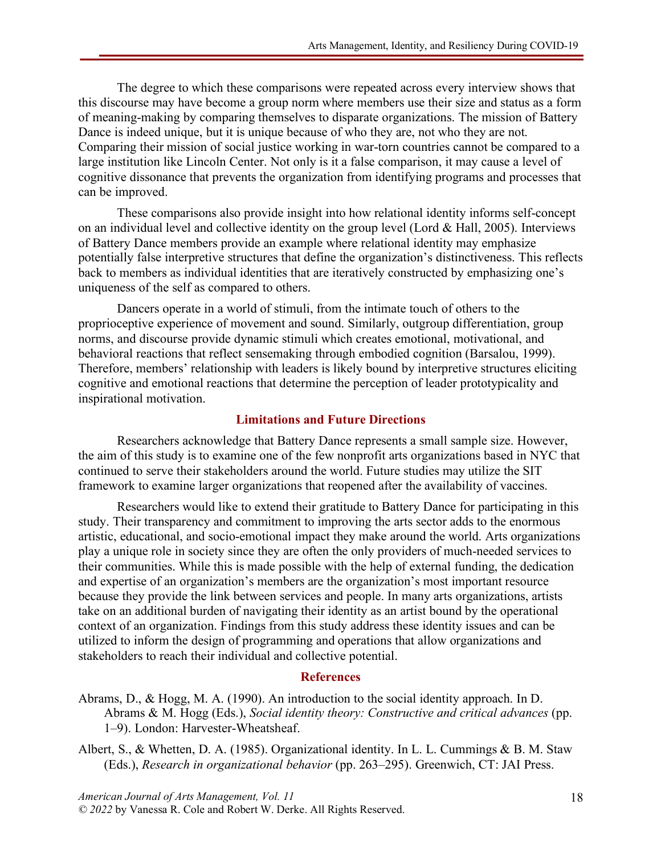The degree to which these comparisons were repeated across every interview shows that this discourse may have become a group norm where members use their size and status as a form of meaning-making by comparing themselves to disparate organizations. The mission of Battery Dance is indeed unique, but it is unique because of who they are, not who they are not. Comparing their mission of social justice working in war-torn countries cannot be compared to a large institution like Lincoln Center. Not only is it a false comparison, it may cause a level of cognitive dissonance that prevents the organization from identifying programs and processes that can be improved.

These comparisons also provide insight into how relational identity informs self-concept on an individual level and collective identity on the group level (Lord & Hall, 2005). Interviews of Battery Dance members provide an example where relational identity may emphasize potentially false interpretive structures that define the organization's distinctiveness. This reflects back to members as individual identities that are iteratively constructed by emphasizing one's uniqueness of the self as compared to others.

Dancers operate in a world of stimuli, from the intimate touch of others to the proprioceptive experience of movement and sound. Similarly, outgroup differentiation, group norms, and discourse provide dynamic stimuli which creates emotional, motivational, and behavioral reactions that reflect sensemaking through embodied cognition (Barsalou, 1999). Therefore, members' relationship with leaders is likely bound by interpretive structures eliciting cognitive and emotional reactions that determine the perception of leader prototypicality and inspirational motivation.

### **Limitations and Future Directions**

Researchers acknowledge that Battery Dance represents a small sample size. However, the aim of this study is to examine one of the few nonprofit arts organizations based in NYC that continued to serve their stakeholders around the world. Future studies may utilize the SIT framework to examine larger organizations that reopened after the availability of vaccines.

Researchers would like to extend their gratitude to Battery Dance for participating in this study. Their transparency and commitment to improving the arts sector adds to the enormous artistic, educational, and socio-emotional impact they make around the world. Arts organizations play a unique role in society since they are often the only providers of much-needed services to their communities. While this is made possible with the help of external funding, the dedication and expertise of an organization's members are the organization's most important resource because they provide the link between services and people. In many arts organizations, artists take on an additional burden of navigating their identity as an artist bound by the operational context of an organization. Findings from this study address these identity issues and can be utilized to inform the design of programming and operations that allow organizations and stakeholders to reach their individual and collective potential.

#### **References**

- Abrams, D., & Hogg, M. A. (1990). An introduction to the social identity approach. In D. Abrams & M. Hogg (Eds.), *Social identity theory: Constructive and critical advances* (pp. 1–9). London: Harvester-Wheatsheaf.
- Albert, S., & Whetten, D. A. (1985). Organizational identity. In L. L. Cummings & B. M. Staw (Eds.), *Research in organizational behavior* (pp. 263–295). Greenwich, CT: JAI Press.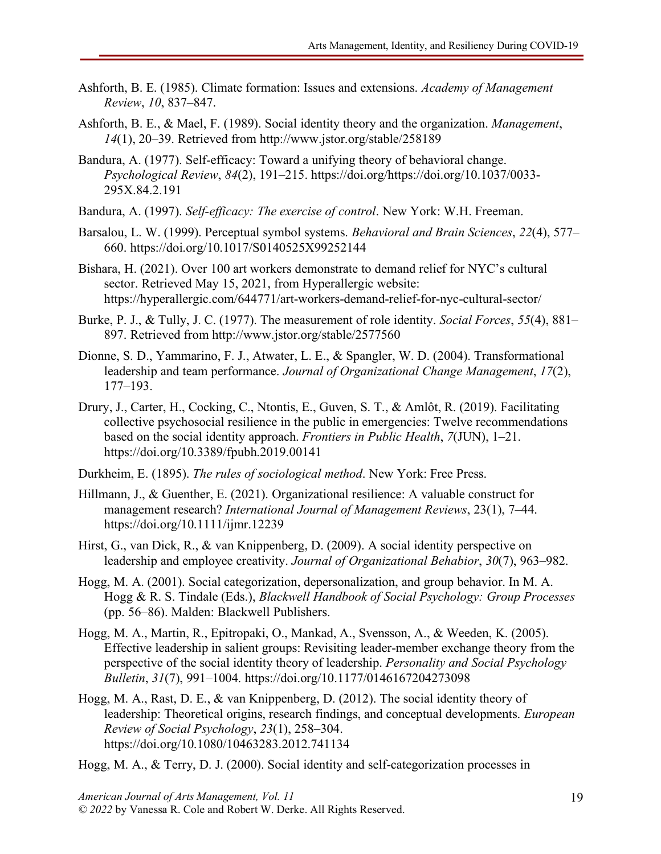- Ashforth, B. E. (1985). Climate formation: Issues and extensions. *Academy of Management Review*, *10*, 837–847.
- Ashforth, B. E., & Mael, F. (1989). Social identity theory and the organization. *Management*, *14*(1), 20–39. Retrieved from http://www.jstor.org/stable/258189
- Bandura, A. (1977). Self-efficacy: Toward a unifying theory of behavioral change. *Psychological Review*, *84*(2), 191–215. https://doi.org/https://doi.org/10.1037/0033- 295X.84.2.191
- Bandura, A. (1997). *Self-efficacy: The exercise of control*. New York: W.H. Freeman.
- Barsalou, L. W. (1999). Perceptual symbol systems. *Behavioral and Brain Sciences*, *22*(4), 577– 660. https://doi.org/10.1017/S0140525X99252144
- Bishara, H. (2021). Over 100 art workers demonstrate to demand relief for NYC's cultural sector. Retrieved May 15, 2021, from Hyperallergic website: https://hyperallergic.com/644771/art-workers-demand-relief-for-nyc-cultural-sector/
- Burke, P. J., & Tully, J. C. (1977). The measurement of role identity. *Social Forces*, *55*(4), 881– 897. Retrieved from http://www.jstor.org/stable/2577560
- Dionne, S. D., Yammarino, F. J., Atwater, L. E., & Spangler, W. D. (2004). Transformational leadership and team performance. *Journal of Organizational Change Management*, *17*(2), 177–193.
- Drury, J., Carter, H., Cocking, C., Ntontis, E., Guven, S. T., & Amlôt, R. (2019). Facilitating collective psychosocial resilience in the public in emergencies: Twelve recommendations based on the social identity approach. *Frontiers in Public Health*, *7*(JUN), 1–21. https://doi.org/10.3389/fpubh.2019.00141
- Durkheim, E. (1895). *The rules of sociological method*. New York: Free Press.
- Hillmann, J., & Guenther, E. (2021). Organizational resilience: A valuable construct for management research? *International Journal of Management Reviews*, 23(1), 7–44. https://doi.org/10.1111/ijmr.12239
- Hirst, G., van Dick, R., & van Knippenberg, D. (2009). A social identity perspective on leadership and employee creativity. *Journal of Organizational Behabior*, *30*(7), 963–982.
- Hogg, M. A. (2001). Social categorization, depersonalization, and group behavior. In M. A. Hogg & R. S. Tindale (Eds.), *Blackwell Handbook of Social Psychology: Group Processes* (pp. 56–86). Malden: Blackwell Publishers.
- Hogg, M. A., Martin, R., Epitropaki, O., Mankad, A., Svensson, A., & Weeden, K. (2005). Effective leadership in salient groups: Revisiting leader-member exchange theory from the perspective of the social identity theory of leadership. *Personality and Social Psychology Bulletin*, *31*(7), 991–1004. https://doi.org/10.1177/0146167204273098
- Hogg, M. A., Rast, D. E., & van Knippenberg, D. (2012). The social identity theory of leadership: Theoretical origins, research findings, and conceptual developments. *European Review of Social Psychology*, *23*(1), 258–304. https://doi.org/10.1080/10463283.2012.741134
- Hogg, M. A., & Terry, D. J. (2000). Social identity and self-categorization processes in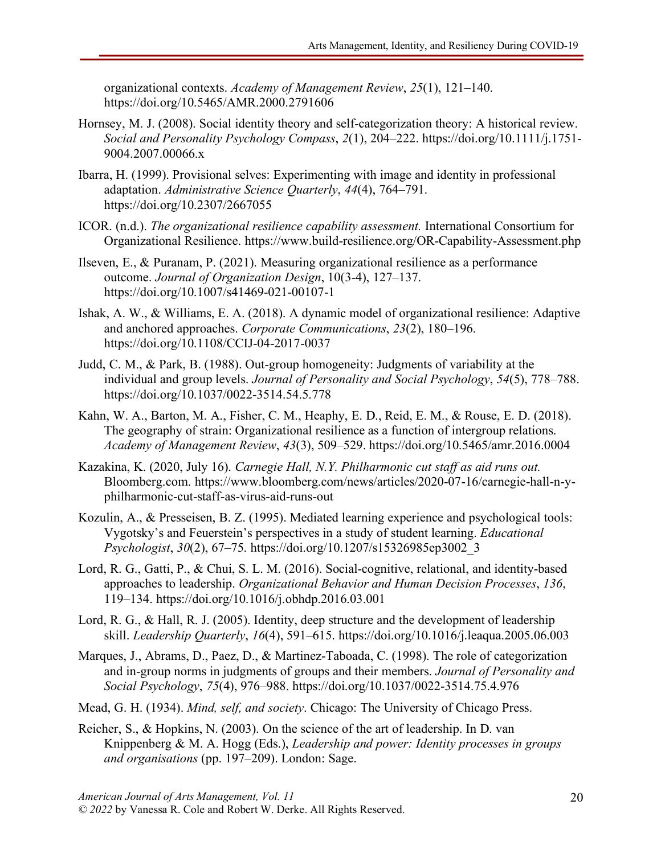organizational contexts. *Academy of Management Review*, *25*(1), 121–140. https://doi.org/10.5465/AMR.2000.2791606

- Hornsey, M. J. (2008). Social identity theory and self-categorization theory: A historical review. *Social and Personality Psychology Compass*, *2*(1), 204–222. https://doi.org/10.1111/j.1751- 9004.2007.00066.x
- Ibarra, H. (1999). Provisional selves: Experimenting with image and identity in professional adaptation. *Administrative Science Quarterly*, *44*(4), 764–791. https://doi.org/10.2307/2667055
- ICOR. (n.d.). *The organizational resilience capability assessment.* International Consortium for Organizational Resilience. https://www.build-resilience.org/OR-Capability-Assessment.php
- Ilseven, E., & Puranam, P. (2021). Measuring organizational resilience as a performance outcome. *Journal of Organization Design*, 10(3-4), 127–137. https://doi.org/10.1007/s41469-021-00107-1
- Ishak, A. W., & Williams, E. A. (2018). A dynamic model of organizational resilience: Adaptive and anchored approaches. *Corporate Communications*, *23*(2), 180–196. https://doi.org/10.1108/CCIJ-04-2017-0037
- Judd, C. M., & Park, B. (1988). Out-group homogeneity: Judgments of variability at the individual and group levels. *Journal of Personality and Social Psychology*, *54*(5), 778–788. https://doi.org/10.1037/0022-3514.54.5.778
- Kahn, W. A., Barton, M. A., Fisher, C. M., Heaphy, E. D., Reid, E. M., & Rouse, E. D. (2018). The geography of strain: Organizational resilience as a function of intergroup relations. *Academy of Management Review*, *43*(3), 509–529. https://doi.org/10.5465/amr.2016.0004
- Kazakina, K. (2020, July 16). *Carnegie Hall, N.Y. Philharmonic cut staff as aid runs out.* Bloomberg.com. https://www.bloomberg.com/news/articles/2020-07-16/carnegie-hall-n-yphilharmonic-cut-staff-as-virus-aid-runs-out
- Kozulin, A., & Presseisen, B. Z. (1995). Mediated learning experience and psychological tools: Vygotsky's and Feuerstein's perspectives in a study of student learning. *Educational Psychologist*, *30*(2), 67–75. https://doi.org/10.1207/s15326985ep3002\_3
- Lord, R. G., Gatti, P., & Chui, S. L. M. (2016). Social-cognitive, relational, and identity-based approaches to leadership. *Organizational Behavior and Human Decision Processes*, *136*, 119–134. https://doi.org/10.1016/j.obhdp.2016.03.001
- Lord, R. G., & Hall, R. J. (2005). Identity, deep structure and the development of leadership skill. *Leadership Quarterly*, *16*(4), 591–615. https://doi.org/10.1016/j.leaqua.2005.06.003
- Marques, J., Abrams, D., Paez, D., & Martinez-Taboada, C. (1998). The role of categorization and in-group norms in judgments of groups and their members. *Journal of Personality and Social Psychology*, *75*(4), 976–988. https://doi.org/10.1037/0022-3514.75.4.976
- Mead, G. H. (1934). *Mind, self, and society*. Chicago: The University of Chicago Press.
- Reicher, S., & Hopkins, N. (2003). On the science of the art of leadership. In D. van Knippenberg & M. A. Hogg (Eds.), *Leadership and power: Identity processes in groups and organisations* (pp. 197–209). London: Sage.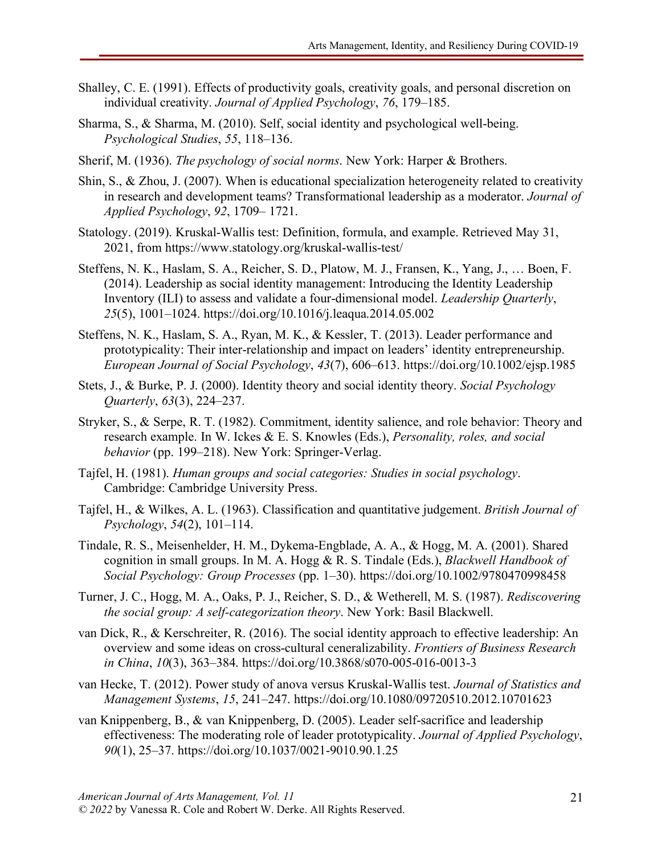- Shalley, C. E. (1991). Effects of productivity goals, creativity goals, and personal discretion on individual creativity. *Journal of Applied Psychology*, *76*, 179–185.
- Sharma, S., & Sharma, M. (2010). Self, social identity and psychological well-being. *Psychological Studies*, *55*, 118–136.
- Sherif, M. (1936). *The psychology of social norms*. New York: Harper & Brothers.
- Shin, S., & Zhou, J. (2007). When is educational specialization heterogeneity related to creativity in research and development teams? Transformational leadership as a moderator. *Journal of Applied Psychology*, *92*, 1709– 1721.
- Statology. (2019). Kruskal-Wallis test: Definition, formula, and example. Retrieved May 31, 2021, from https://www.statology.org/kruskal-wallis-test/
- Steffens, N. K., Haslam, S. A., Reicher, S. D., Platow, M. J., Fransen, K., Yang, J., … Boen, F. (2014). Leadership as social identity management: Introducing the Identity Leadership Inventory (ILI) to assess and validate a four-dimensional model. *Leadership Quarterly*, *25*(5), 1001–1024. https://doi.org/10.1016/j.leaqua.2014.05.002
- Steffens, N. K., Haslam, S. A., Ryan, M. K., & Kessler, T. (2013). Leader performance and prototypicality: Their inter-relationship and impact on leaders' identity entrepreneurship. *European Journal of Social Psychology*, *43*(7), 606–613. https://doi.org/10.1002/ejsp.1985
- Stets, J., & Burke, P. J. (2000). Identity theory and social identity theory. *Social Psychology Quarterly*, *63*(3), 224–237.
- Stryker, S., & Serpe, R. T. (1982). Commitment, identity salience, and role behavior: Theory and research example. In W. Ickes & E. S. Knowles (Eds.), *Personality, roles, and social behavior* (pp. 199–218). New York: Springer-Verlag.
- Tajfel, H. (1981). *Human groups and social categories: Studies in social psychology*. Cambridge: Cambridge University Press.
- Tajfel, H., & Wilkes, A. L. (1963). Classification and quantitative judgement. *British Journal of Psychology*, *54*(2), 101–114.
- Tindale, R. S., Meisenhelder, H. M., Dykema-Engblade, A. A., & Hogg, M. A. (2001). Shared cognition in small groups. In M. A. Hogg & R. S. Tindale (Eds.), *Blackwell Handbook of Social Psychology: Group Processes* (pp. 1–30). https://doi.org/10.1002/9780470998458
- Turner, J. C., Hogg, M. A., Oaks, P. J., Reicher, S. D., & Wetherell, M. S. (1987). *Rediscovering the social group: A self-categorization theory*. New York: Basil Blackwell.
- van Dick, R., & Kerschreiter, R. (2016). The social identity approach to effective leadership: An overview and some ideas on cross-cultural ceneralizability. *Frontiers of Business Research in China*, *10*(3), 363–384. https://doi.org/10.3868/s070-005-016-0013-3
- van Hecke, T. (2012). Power study of anova versus Kruskal-Wallis test. *Journal of Statistics and Management Systems*, *15*, 241–247. https://doi.org/10.1080/09720510.2012.10701623
- van Knippenberg, B., & van Knippenberg, D. (2005). Leader self-sacrifice and leadership effectiveness: The moderating role of leader prototypicality. *Journal of Applied Psychology*, *90*(1), 25–37. https://doi.org/10.1037/0021-9010.90.1.25